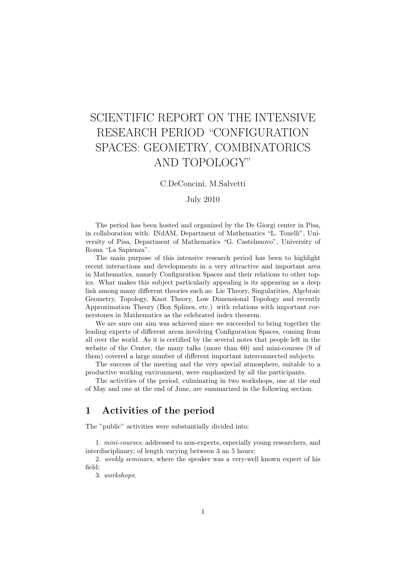# SCIENTIFIC REPORT ON THE INTENSIVE RESEARCH PERIOD "CONFIGURATION SPACES: GEOMETRY, COMBINATORICS AND TOPOLOGY"

C.DeConcini, M.Salvetti

## July 2010

The period has been hosted and organized by the De Giorgi center in Pisa, in collaboration with: INdAM, Department of Mathematics "L. Tonelli", University of Pisa, Department of Mathematics "G. Castelnuovo", University of Roma "La Sapienza".

The main purpose of this intensive research period has been to highlight recent interactions and developments in a very attractive and important area in Mathematics, namely Configuration Spaces and their relations to other topics. What makes this subject particularly appealing is its appearing as a deep link among many different theories such as: Lie Theory, Singularities, Algebraic Geometry, Topology, Knot Theory, Low Dimensional Topology and recently Approximation Theory (Box Splines, etc.) with relations with important cornerstones in Mathematics as the celebrated index theorem.

We are sure our aim was achieved since we succeeded to bring together the leading experts of different areas involving Configuration Spaces, coming from all over the world. As it is certified by the several notes that people left in the website of the Center, the many talks (more than 60) and mini-courses (9 of them) covered a large number of different important interconnected subjects.

The success of the meeting and the very special atmosphere, suitable to a productive working environment, were emphasized by all the participants.

The activities of the period, culminating in two workshops, one at the end of May and one at the end of June, are summarized in the following section.

## 1 Activities of the period

The "public" activities were substantially divided into:

1. mini-courses, addressed to non-experts, especially young researchers, and interdisciplinary, of length varying between 3 an 5 hours;

2. weekly seminars, where the speaker was a very-well known expert of his field;

3. workshops;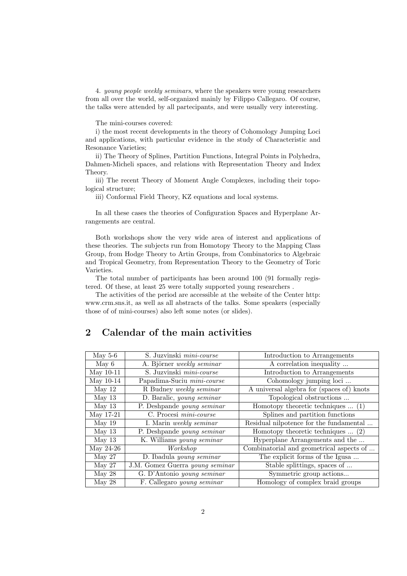4. young people weekly seminars, where the speakers were young researchers from all over the world, self-organized mainly by Filippo Callegaro. Of course, the talks were attended by all partecipants, and were usually very interesting.

The mini-courses covered:

i) the most recent developments in the theory of Cohomology Jumping Loci and applications, with particular evidence in the study of Characteristic and Resonance Varieties;

ii) The Theory of Splines, Partition Functions, Integral Points in Polyhedra, Dahmen-Micheli spaces, and relations with Representation Theory and Index Theory.

iii) The recent Theory of Moment Angle Complexes, including their topological structure;

iii) Conformal Field Theory, KZ equations and local systems.

In all these cases the theories of Configuration Spaces and Hyperplane Arrangements are central.

Both workshops show the very wide area of interest and applications of these theories. The subjects run from Homotopy Theory to the Mapping Class Group, from Hodge Theory to Artin Groups, from Combinatorics to Algebraic and Tropical Geometry, from Representation Theory to the Geometry of Toric Varieties.

The total number of participants has been around 100 (91 formally registered. Of these, at least 25 were totally supported young researchers .

The activities of the period are accessible at the website of the Center http: www.crm.sns.it, as well as all abstracts of the talks. Some speakers (especially those of of mini-courses) also left some notes (or slides).

# 2 Calendar of the main activities

| May $5-6$ | S. Juzvinski mini-course        | Introduction to Arrangements              |
|-----------|---------------------------------|-------------------------------------------|
| May 6     | A. Björner weekly seminar       | A correlation inequality                  |
| May 10-11 | S. Juzvinski mini-course        | Introduction to Arrangements              |
| May 10-14 | Papadima-Suciu mini-course      | Cohomology jumping loci                   |
| May 12    | R Budney weekly seminar         | A universal algebra for (spaces of) knots |
| May $13$  | D. Baralic, young seminar       | Topological obstructions                  |
| May $13$  | P. Deshpande young seminar      | Homotopy theoretic techniques $\dots$ (1) |
| May 17-21 | C. Procesi mini-course          | Splines and partition functions           |
| May 19    | I. Marin weekly seminar         | Residual nilpotence for the fundamental   |
| May $13$  | P. Deshpande young seminar      | Homotopy theoretic techniques $\dots$ (2) |
| May $13$  | K. Williams young seminar       | Hyperplane Arrangements and the           |
| May 24-26 | Workshop                        | Combinatorial and geometrical aspects of  |
| May 27    | D. Ibadula young seminar        | The explicit forms of the Igusa           |
| May 27    | J.M. Gomez Guerra young seminar | Stable splittings, spaces of              |
| May 28    | G. D'Antonio young seminar      | Symmetric group actions                   |
| May 28    | F. Callegaro young seminar      | Homology of complex braid groups          |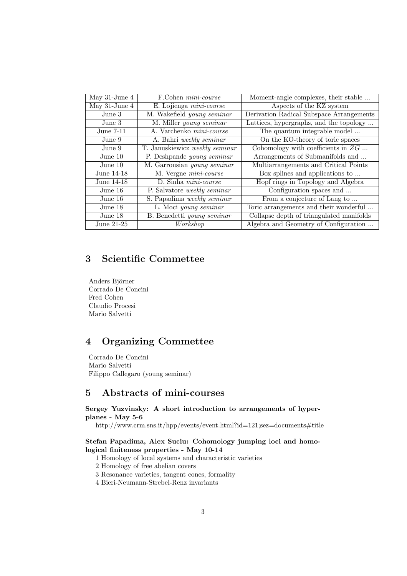| May $31$ -June $4$ | F.Cohen <i>mini-course</i>         | Moment-angle complexes, their stable     |
|--------------------|------------------------------------|------------------------------------------|
| May $31$ -June $4$ | E. Lojienga mini-course            | Aspects of the KZ system                 |
| June 3             | M. Wakefield young seminar         | Derivation Radical Subspace Arrangements |
| June 3             | M. Miller young seminar            | Lattices, hypergraphs, and the topology  |
| June 7-11          | A. Varchenko <i>mini-course</i>    | The quantum integrable model             |
| June 9             | A. Bahri weekly seminar            | On the KO-theory of toric spaces         |
| June 9             | T. Januskiewicz weekly seminar     | Cohomology with coefficients in $ZG$     |
| June 10            | P. Deshpande young seminar         | Arrangements of Submanifolds and         |
| June 10            | M. Garrousian young seminar        | Multiarrangements and Critical Points    |
| June 14-18         | M. Vergne mini-course              | Box splines and applications to          |
| June 14-18         | D. Sinha <i>mini-course</i>        | Hopf rings in Topology and Algebra       |
| June 16            | P. Salvatore <i>weekly seminar</i> | Configuration spaces and                 |
| June 16            | S. Papadima weekly seminar         | From a conjecture of Lang to             |
| June 18            | L. Moci young seminar              | Toric arrangements and their wonderful   |
| June 18            | B. Benedetti young seminar         | Collapse depth of triangulated manifolds |
| June $21-25$       | Workshop                           | Algebra and Geometry of Configuration    |

# 3 Scientific Commettee

Anders Björner Corrado De Concini Fred Cohen Claudio Procesi Mario Salvetti

# 4 Organizing Commettee

Corrado De Concini Mario Salvetti Filippo Callegaro (young seminar)

# 5 Abstracts of mini-courses

## Sergey Yuzvinsky: A short introduction to arrangements of hyperplanes - May 5-6

http://www.crm.sns.it/hpp/events/event.html?id=121;sez=documents#title

## Stefan Papadima, Alex Suciu: Cohomology jumping loci and homological finiteness properties - May 10-14

- 1 Homology of local systems and characteristic varieties
- 2 Homology of free abelian covers
- 3 Resonance varieties, tangent cones, formality
- 4 Bieri-Neumann-Strebel-Renz invariants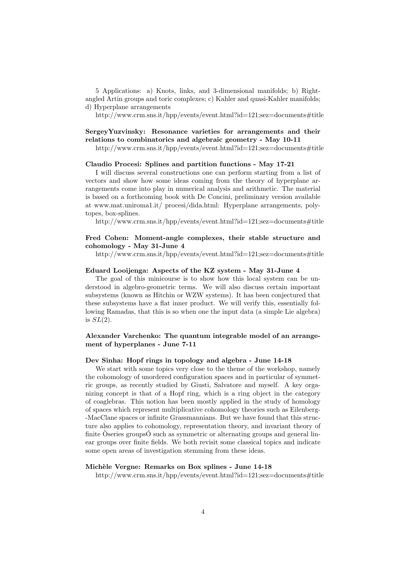5 Applications: a) Knots, links, and 3-dimensional manifolds; b) Rightangled Artin groups and toric complexes; c) Kahler and quasi-Kahler manifolds; d) Hyperplane arrangements

http://www.crm.sns.it/hpp/events/event.html?id=121;sez=documents#title

## SergeyYuzvinsky: Resonance varieties for arrangements and their relations to combinatorics and algebraic geometry - May 10-11

http://www.crm.sns.it/hpp/events/event.html?id=121;sez=documents#title

#### Claudio Procesi: Splines and partition functions - May 17-21

I will discuss several constructions one can perform starting from a list of vectors and show how some ideas coming from the theory of hyperplane arrangements come into play in numerical analysis and arithmetic. The material is based on a forthcoming book with De Concini, preliminary version available at www.mat.uniroma1.it/ procesi/dida.html: Hyperplane arrangements, polytopes, box-splines.

http://www.crm.sns.it/hpp/events/event.html?id=121;sez=documents#title

## Fred Cohen: Moment-angle complexes, their stable structure and cohomology - May 31-June 4

http://www.crm.sns.it/hpp/events/event.html?id=121;sez=documents#title

## Eduard Looijenga: Aspects of the KZ system - May 31-June 4

The goal of this minicourse is to show how this local system can be understood in algebro-geometric terms. We will also discuss certain important subsystems (known as Hitchin or WZW systems). It has been conjectured that these subsystems have a flat inner product. We will verify this, essentially following Ramadas, that this is so when one the input data (a simple Lie algebra) is  $SL(2)$ .

## Alexander Varchenko: The quantum integrable model of an arrangement of hyperplanes - June 7-11

#### Dev Sinha: Hopf rings in topology and algebra - June 14-18

We start with some topics very close to the theme of the workshop, namely the cohomology of unordered configuration spaces and in particular of symmetric groups, as recently studied by Giusti, Salvatore and myself. A key organizing concept is that of a Hopf ring, which is a ring object in the category of coaglebras. This notion has been mostly applied in the study of homology of spaces which represent multiplicative cohomology theories such as Eilenberg- -MacClane spaces or infinite Grassmannians. But we have found that this structure also applies to cohomology, representation theory, and invariant theory of finite Oseries groups  $\acute{O}$  such as symmetric or alternating groups and general linear groups over finite fields. We both revisit some classical topics and indicate some open areas of investigation stemming from these ideas.

## Michèle Vergne: Remarks on Box splines - June 14-18

http://www.crm.sns.it/hpp/events/event.html?id=121;sez=documents#title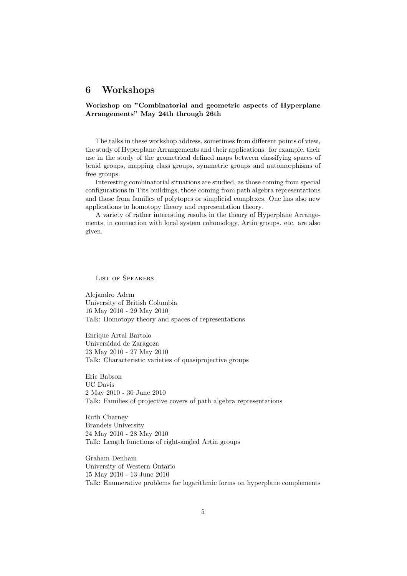## 6 Workshops

## Workshop on "Combinatorial and geometric aspects of Hyperplane Arrangements" May 24th through 26th

The talks in these workshop address, sometimes from different points of view, the study of Hyperplane Arrangements and their applications: for example, their use in the study of the geometrical defined maps between classifying spaces of braid groups, mapping class groups, symmetric groups and automorphisms of free groups.

Interesting combinatorial situations are studied, as those coming from special configurations in Tits buildings, those coming from path algebra representations and those from families of polytopes or simplicial complexes. One has also new applications to homotopy theory and representation theory.

A variety of rather interesting results in the theory of Hyperplane Arrangements, in connection with local system cohomology, Artin groups. etc. are also given.

List of Speakers.

Alejandro Adem University of British Columbia 16 May 2010 - 29 May 2010] Talk: Homotopy theory and spaces of representations

Enrique Artal Bartolo Universidad de Zaragoza 23 May 2010 - 27 May 2010 Talk: Characteristic varieties of quasiprojective groups

Eric Babson UC Davis 2 May 2010 - 30 June 2010 Talk: Families of projective covers of path algebra representations

Ruth Charney Brandeis University 24 May 2010 - 28 May 2010 Talk: Length functions of right-angled Artin groups

Graham Denham University of Western Ontario 15 May 2010 - 13 June 2010 Talk: Enumerative problems for logarithmic forms on hyperplane complements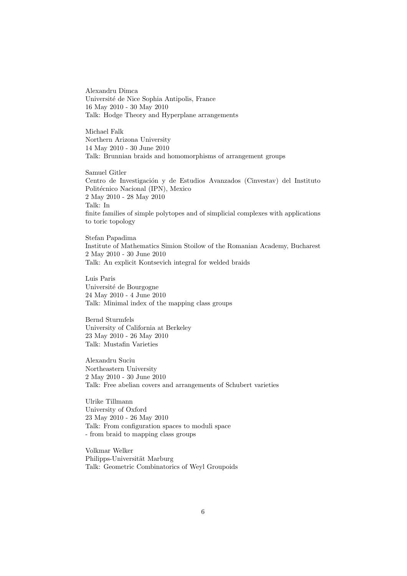Alexandru Dimca Université de Nice Sophia Antipolis, France 16 May 2010 - 30 May 2010 Talk: Hodge Theory and Hyperplane arrangements

Michael Falk Northern Arizona University 14 May 2010 - 30 June 2010 Talk: Brunnian braids and homomorphisms of arrangement groups

Samuel Gitler Centro de Investigación y de Estudios Avanzados (Cinvestav) del Instituto Politécnico Nacional (IPN), Mexico 2 May 2010 - 28 May 2010 Talk: In finite families of simple polytopes and of simplicial complexes with applications to toric topology

Stefan Papadima Institute of Mathematics Simion Stoilow of the Romanian Academy, Bucharest 2 May 2010 - 30 June 2010 Talk: An explicit Kontsevich integral for welded braids

Luis Paris Université de Bourgogne 24 May 2010 - 4 June 2010 Talk: Minimal index of the mapping class groups

Bernd Sturmfels University of California at Berkeley 23 May 2010 - 26 May 2010 Talk: Mustafin Varieties

Alexandru Suciu Northeastern University 2 May 2010 - 30 June 2010 Talk: Free abelian covers and arrangements of Schubert varieties

Ulrike Tillmann University of Oxford 23 May 2010 - 26 May 2010 Talk: From configuration spaces to moduli space - from braid to mapping class groups

Volkmar Welker Philipps-Universität Marburg Talk: Geometric Combinatorics of Weyl Groupoids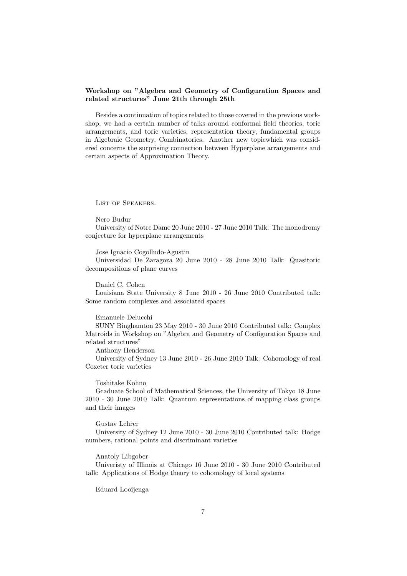## Workshop on "Algebra and Geometry of Configuration Spaces and related structures" June 21th through 25th

Besides a continuation of topics related to those covered in the previous workshop, we had a certain number of talks around conformal field theories, toric arrangements, and toric varieties, representation theory, fundamental groups in Algebraic Geometry, Combinatorics. Another new topicwhich was considered concerns the surprising connection between Hyperplane arrangements and certain aspects of Approximation Theory.

List of Speakers.

Nero Budur

University of Notre Dame 20 June 2010 - 27 June 2010 Talk: The monodromy conjecture for hyperplane arrangements

Jose Ignacio Cogolludo-Agustin

Universidad De Zaragoza 20 June 2010 - 28 June 2010 Talk: Quasitoric decompositions of plane curves

Daniel C. Cohen

Louisiana State University 8 June 2010 - 26 June 2010 Contributed talk: Some random complexes and associated spaces

Emanuele Delucchi

SUNY Binghamton 23 May 2010 - 30 June 2010 Contributed talk: Complex Matroids in Workshop on "Algebra and Geometry of Configuration Spaces and related structures"

Anthony Henderson

University of Sydney 13 June 2010 - 26 June 2010 Talk: Cohomology of real Coxeter toric varieties

Toshitake Kohno

Graduate School of Mathematical Sciences, the University of Tokyo 18 June 2010 - 30 June 2010 Talk: Quantum representations of mapping class groups and their images

Gustav Lehrer

University of Sydney 12 June 2010 - 30 June 2010 Contributed talk: Hodge numbers, rational points and discriminant varieties

Anatoly Libgober

Univeristy of Illinois at Chicago 16 June 2010 - 30 June 2010 Contributed talk: Applications of Hodge theory to cohomology of local systems

Eduard Looijenga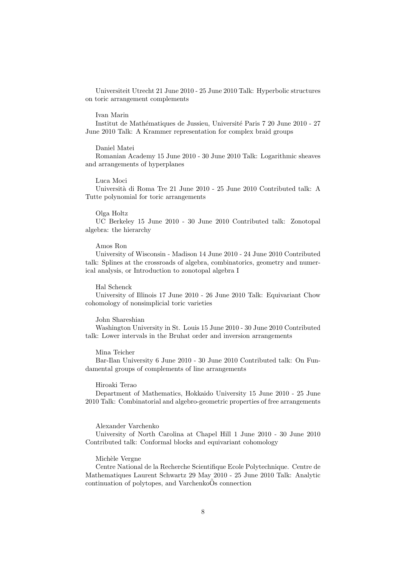Universiteit Utrecht 21 June 2010 - 25 June 2010 Talk: Hyperbolic structures on toric arrangement complements

## Ivan Marin

Institut de Mathématiques de Jussieu, Université Paris 7 20 June 2010 - 27 June 2010 Talk: A Krammer representation for complex braid groups

## Daniel Matei

Romanian Academy 15 June 2010 - 30 June 2010 Talk: Logarithmic sheaves and arrangements of hyperplanes

#### Luca Moci

Università di Roma Tre 21 June 2010 - 25 June 2010 Contributed talk:  ${\rm A}$ Tutte polynomial for toric arrangements

## Olga Holtz

UC Berkeley 15 June 2010 - 30 June 2010 Contributed talk: Zonotopal algebra: the hierarchy

### Amos Ron

University of Wisconsin - Madison 14 June 2010 - 24 June 2010 Contributed talk: Splines at the crossroads of algebra, combinatorics, geometry and numerical analysis, or Introduction to zonotopal algebra I

#### Hal Schenck

University of Illinois 17 June 2010 - 26 June 2010 Talk: Equivariant Chow cohomology of nonsimplicial toric varieties

#### John Shareshian

Washington University in St. Louis 15 June 2010 - 30 June 2010 Contributed talk: Lower intervals in the Bruhat order and inversion arrangements

#### Mina Teicher

Bar-Ilan University 6 June 2010 - 30 June 2010 Contributed talk: On Fundamental groups of complements of line arrangements

#### Hiroaki Terao

Department of Mathematics, Hokkaido University 15 June 2010 - 25 June 2010 Talk: Combinatorial and algebro-geometric properties of free arrangements

#### Alexander Varchenko

University of North Carolina at Chapel Hill 1 June 2010 - 30 June 2010 Contributed talk: Conformal blocks and equivariant cohomology

#### Michèle Vergne

Centre National de la Recherche Scientifique Ecole Polytechnique. Centre de Mathematiques Laurent Schwartz 29 May 2010 - 25 June 2010 Talk: Analytic continuation of polytopes, and VarchenkoOs connection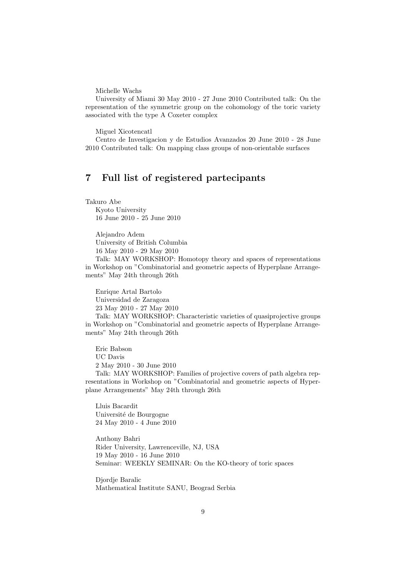Michelle Wachs

University of Miami 30 May 2010 - 27 June 2010 Contributed talk: On the representation of the symmetric group on the cohomology of the toric variety associated with the type A Coxeter complex

Miguel Xicotencatl

Centro de Investigacion y de Estudios Avanzados 20 June 2010 - 28 June 2010 Contributed talk: On mapping class groups of non-orientable surfaces

# 7 Full list of registered partecipants

Takuro Abe Kyoto University 16 June 2010 - 25 June 2010

> Alejandro Adem University of British Columbia 16 May 2010 - 29 May 2010

Talk: MAY WORKSHOP: Homotopy theory and spaces of representations in Workshop on "Combinatorial and geometric aspects of Hyperplane Arrangements" May 24th through 26th

Enrique Artal Bartolo Universidad de Zaragoza 23 May 2010 - 27 May 2010 Talk: MAY WORKSHOP: Characteristic varieties of quasiprojective groups

in Workshop on "Combinatorial and geometric aspects of Hyperplane Arrangements" May 24th through 26th

Eric Babson UC Davis 2 May 2010 - 30 June 2010

Talk: MAY WORKSHOP: Families of projective covers of path algebra representations in Workshop on "Combinatorial and geometric aspects of Hyperplane Arrangements" May 24th through 26th

Lluis Bacardit Université de Bourgogne 24 May 2010 - 4 June 2010

Anthony Bahri Rider University, Lawrenceville, NJ, USA 19 May 2010 - 16 June 2010 Seminar: WEEKLY SEMINAR: On the KO-theory of toric spaces

Djordje Baralic Mathematical Institute SANU, Beograd Serbia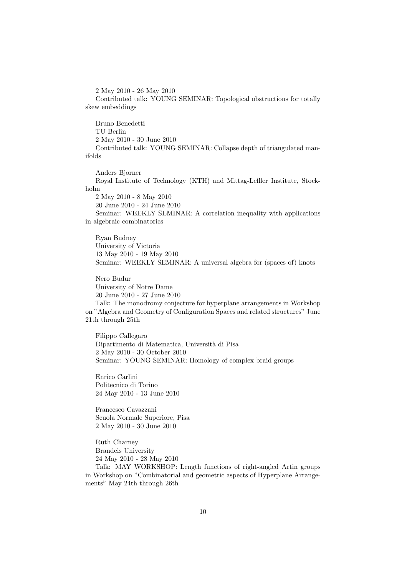2 May 2010 - 26 May 2010

Contributed talk: YOUNG SEMINAR: Topological obstructions for totally skew embeddings

Bruno Benedetti TU Berlin 2 May 2010 - 30 June 2010 Contributed talk: YOUNG SEMINAR: Collapse depth of triangulated manifolds

Anders Bjorner Royal Institute of Technology (KTH) and Mittag-Leffler Institute, Stockholm 2 May 2010 - 8 May 2010 20 June 2010 - 24 June 2010 Seminar: WEEKLY SEMINAR: A correlation inequality with applications in algebraic combinatorics

Ryan Budney University of Victoria 13 May 2010 - 19 May 2010 Seminar: WEEKLY SEMINAR: A universal algebra for (spaces of) knots

Nero Budur University of Notre Dame 20 June 2010 - 27 June 2010 Talk: The monodromy conjecture for hyperplane arrangements in Workshop on "Algebra and Geometry of Configuration Spaces and related structures" June

21th through 25th

Filippo Callegaro Dipartimento di Matematica, Universit`a di Pisa 2 May 2010 - 30 October 2010 Seminar: YOUNG SEMINAR: Homology of complex braid groups

Enrico Carlini Politecnico di Torino 24 May 2010 - 13 June 2010

Francesco Cavazzani Scuola Normale Superiore, Pisa 2 May 2010 - 30 June 2010

Ruth Charney Brandeis University 24 May 2010 - 28 May 2010

Talk: MAY WORKSHOP: Length functions of right-angled Artin groups in Workshop on "Combinatorial and geometric aspects of Hyperplane Arrangements" May 24th through 26th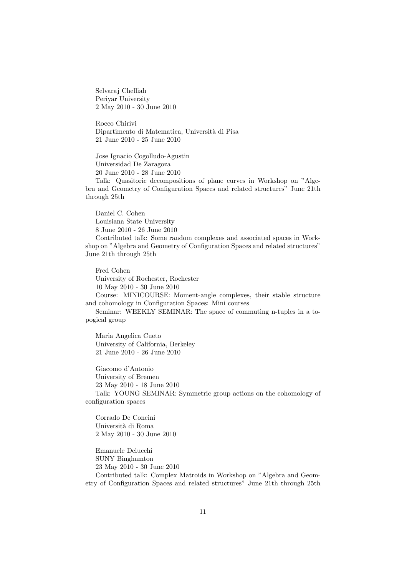Selvaraj Chelliah Periyar University 2 May 2010 - 30 June 2010

Rocco Chirivi Dipartimento di Matematica, Universit`a di Pisa 21 June 2010 - 25 June 2010

Jose Ignacio Cogolludo-Agustin Universidad De Zaragoza 20 June 2010 - 28 June 2010

Talk: Quasitoric decompositions of plane curves in Workshop on "Algebra and Geometry of Configuration Spaces and related structures" June 21th through 25th

Daniel C. Cohen Louisiana State University 8 June 2010 - 26 June 2010

Contributed talk: Some random complexes and associated spaces in Workshop on "Algebra and Geometry of Configuration Spaces and related structures" June 21th through 25th

Fred Cohen University of Rochester, Rochester 10 May 2010 - 30 June 2010 Course: MINICOURSE: Moment-angle complexes, their stable structure and cohomology in Configuration Spaces: Mini courses

Seminar: WEEKLY SEMINAR: The space of commuting n-tuples in a topogical group

Maria Angelica Cueto University of California, Berkeley 21 June 2010 - 26 June 2010

Giacomo d'Antonio University of Bremen 23 May 2010 - 18 June 2010 Talk: YOUNG SEMINAR: Symmetric group actions on the cohomology of configuration spaces

Corrado De Concini Universit`a di Roma 2 May 2010 - 30 June 2010

Emanuele Delucchi SUNY Binghamton 23 May 2010 - 30 June 2010 Contributed talk: Complex Matroids in Workshop on "Algebra and Geometry of Configuration Spaces and related structures" June 21th through 25th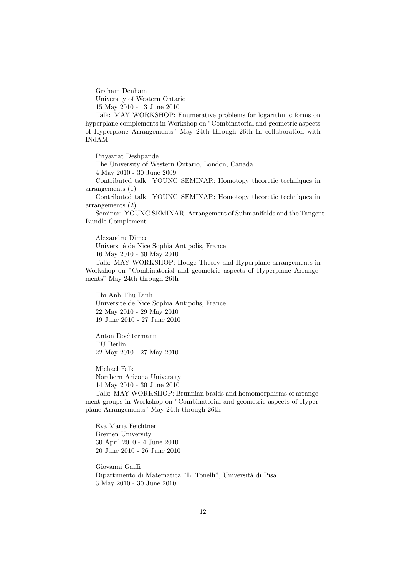Graham Denham University of Western Ontario 15 May 2010 - 13 June 2010

Talk: MAY WORKSHOP: Enumerative problems for logarithmic forms on hyperplane complements in Workshop on "Combinatorial and geometric aspects of Hyperplane Arrangements" May 24th through 26th In collaboration with INdAM

Priyavrat Deshpande The University of Western Ontario, London, Canada 4 May 2010 - 30 June 2009 Contributed talk: YOUNG SEMINAR: Homotopy theoretic techniques in arrangements (1) Contributed talk: YOUNG SEMINAR: Homotopy theoretic techniques in arrangements (2)

Seminar: YOUNG SEMINAR: Arrangement of Submanifolds and the Tangent-Bundle Complement

Alexandru Dimca Universit´e de Nice Sophia Antipolis, France 16 May 2010 - 30 May 2010 Talk: MAY WORKSHOP: Hodge Theory and Hyperplane arrangements in Workshop on "Combinatorial and geometric aspects of Hyperplane Arrangements" May 24th through 26th

Thi Anh Thu Dinh Universit´e de Nice Sophia Antipolis, France 22 May 2010 - 29 May 2010 19 June 2010 - 27 June 2010

Anton Dochtermann TU Berlin 22 May 2010 - 27 May 2010

Michael Falk Northern Arizona University 14 May 2010 - 30 June 2010

Talk: MAY WORKSHOP: Brunnian braids and homomorphisms of arrangement groups in Workshop on "Combinatorial and geometric aspects of Hyperplane Arrangements" May 24th through 26th

Eva Maria Feichtner Bremen University 30 April 2010 - 4 June 2010 20 June 2010 - 26 June 2010

Giovanni Gaiffi Dipartimento di Matematica "L. Tonelli", Universit`a di Pisa 3 May 2010 - 30 June 2010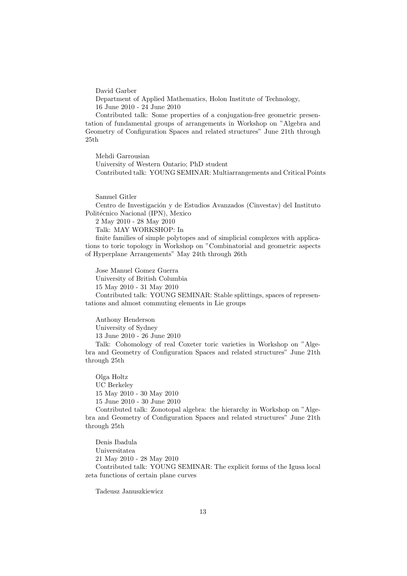David Garber

Department of Applied Mathematics, Holon Institute of Technology, 16 June 2010 - 24 June 2010

Contributed talk: Some properties of a conjugation-free geometric presentation of fundamental groups of arrangements in Workshop on "Algebra and Geometry of Configuration Spaces and related structures" June 21th through 25th

Mehdi Garrousian University of Western Ontario; PhD student Contributed talk: YOUNG SEMINAR: Multiarrangements and Critical Points

Samuel Gitler

Centro de Investigación y de Estudios Avanzados (Cinvestav) del Instituto Politécnico Nacional (IPN), Mexico

2 May 2010 - 28 May 2010 Talk: MAY WORKSHOP: In

finite families of simple polytopes and of simplicial complexes with applica-

tions to toric topology in Workshop on "Combinatorial and geometric aspects of Hyperplane Arrangements" May 24th through 26th

Jose Manuel Gomez Guerra University of British Columbia 15 May 2010 - 31 May 2010 Contributed talk: YOUNG SEMINAR: Stable splittings, spaces of representations and almost commuting elements in Lie groups

Anthony Henderson University of Sydney 13 June 2010 - 26 June 2010 Talk: Cohomology of real Coxeter toric varieties in Workshop on "Algebra and Geometry of Configuration Spaces and related structures" June 21th through 25th

Olga Holtz UC Berkeley 15 May 2010 - 30 May 2010 15 June 2010 - 30 June 2010

Contributed talk: Zonotopal algebra: the hierarchy in Workshop on "Algebra and Geometry of Configuration Spaces and related structures" June 21th through 25th

Denis Ibadula Universitatea 21 May 2010 - 28 May 2010 Contributed talk: YOUNG SEMINAR: The explicit forms of the Igusa local zeta functions of certain plane curves

Tadeusz Januszkiewicz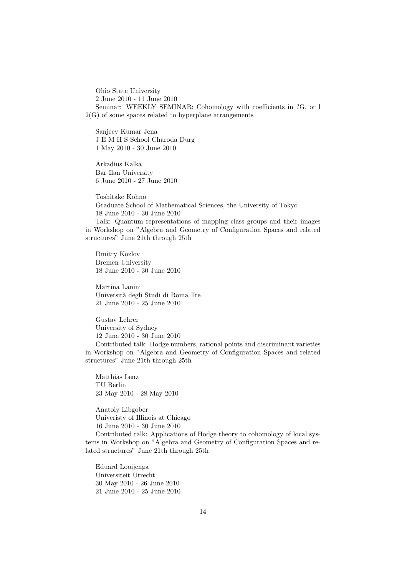Ohio State University 2 June 2010 - 11 June 2010 Seminar: WEEKLY SEMINAR: Cohomology with coefficients in ?G, or l 2(G) of some spaces related to hyperplane arrangements

Sanjeev Kumar Jena J E M H S School Charoda Durg 1 May 2010 - 30 June 2010

Arkadius Kalka Bar Ilan University 6 June 2010 - 27 June 2010

Toshitake Kohno Graduate School of Mathematical Sciences, the University of Tokyo 18 June 2010 - 30 June 2010

Talk: Quantum representations of mapping class groups and their images in Workshop on "Algebra and Geometry of Configuration Spaces and related structures" June 21th through 25th

Dmitry Kozlov Bremen University 18 June 2010 - 30 June 2010

Martina Lanini Universit`a degli Studi di Roma Tre 21 June 2010 - 25 June 2010

Gustav Lehrer University of Sydney 12 June 2010 - 30 June 2010 Contributed talk: Hodge numbers, rational points and discriminant varieties in Workshop on "Algebra and Geometry of Configuration Spaces and related structures" June 21th through 25th

Matthias Lenz TU Berlin 23 May 2010 - 28 May 2010

Anatoly Libgober Univeristy of Illinois at Chicago 16 June 2010 - 30 June 2010

Contributed talk: Applications of Hodge theory to cohomology of local systems in Workshop on "Algebra and Geometry of Configuration Spaces and related structures" June 21th through 25th

Eduard Looijenga Universiteit Utrecht 30 May 2010 - 26 June 2010 21 June 2010 - 25 June 2010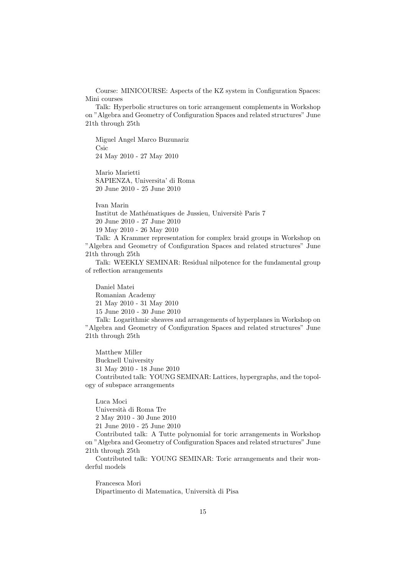Course: MINICOURSE: Aspects of the KZ system in Configuration Spaces: Mini courses

Talk: Hyperbolic structures on toric arrangement complements in Workshop on "Algebra and Geometry of Configuration Spaces and related structures" June 21th through 25th

Miguel Angel Marco Buzunariz Csic 24 May 2010 - 27 May 2010

Mario Marietti SAPIENZA, Universita' di Roma 20 June 2010 - 25 June 2010

Ivan Marin Institut de Mathématiques de Jussieu, Universitè Paris 7 20 June 2010 - 27 June 2010 19 May 2010 - 26 May 2010

Talk: A Krammer representation for complex braid groups in Workshop on "Algebra and Geometry of Configuration Spaces and related structures" June 21th through 25th

Talk: WEEKLY SEMINAR: Residual nilpotence for the fundamental group of reflection arrangements

Daniel Matei Romanian Academy 21 May 2010 - 31 May 2010 15 June 2010 - 30 June 2010

Talk: Logarithmic sheaves and arrangements of hyperplanes in Workshop on "Algebra and Geometry of Configuration Spaces and related structures" June 21th through 25th

Matthew Miller Bucknell University 31 May 2010 - 18 June 2010 Contributed talk: YOUNG SEMINAR: Lattices, hypergraphs, and the topology of subspace arrangements

Luca Moci Università di Roma Tre 2 May 2010 - 30 June 2010 21 June 2010 - 25 June 2010

Contributed talk: A Tutte polynomial for toric arrangements in Workshop on "Algebra and Geometry of Configuration Spaces and related structures" June 21th through 25th

Contributed talk: YOUNG SEMINAR: Toric arrangements and their wonderful models

Francesca Mori Dipartimento di Matematica, Universit`a di Pisa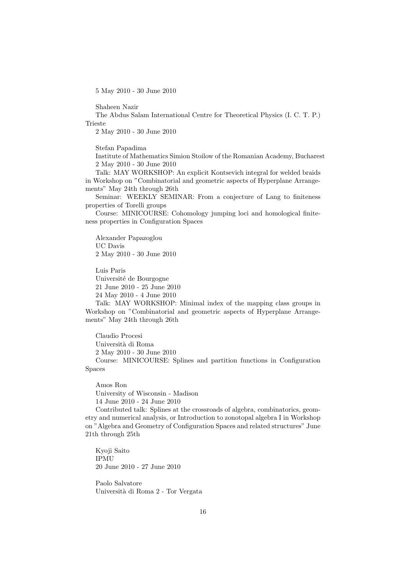5 May 2010 - 30 June 2010

Shaheen Nazir

The Abdus Salam International Centre for Theoretical Physics (I. C. T. P.) Trieste

2 May 2010 - 30 June 2010

Stefan Papadima

Institute of Mathematics Simion Stoilow of the Romanian Academy, Bucharest 2 May 2010 - 30 June 2010

Talk: MAY WORKSHOP: An explicit Kontsevich integral for welded braids in Workshop on "Combinatorial and geometric aspects of Hyperplane Arrangements" May 24th through 26th

Seminar: WEEKLY SEMINAR: From a conjecture of Lang to finiteness properties of Torelli groups

Course: MINICOURSE: Cohomology jumping loci and homological finiteness properties in Configuration Spaces

Alexander Papazoglou UC Davis 2 May 2010 - 30 June 2010

Luis Paris Université de Bourgogne 21 June 2010 - 25 June 2010 24 May 2010 - 4 June 2010

Talk: MAY WORKSHOP: Minimal index of the mapping class groups in Workshop on "Combinatorial and geometric aspects of Hyperplane Arrangements" May 24th through 26th

Claudio Procesi Universit`a di Roma 2 May 2010 - 30 June 2010 Course: MINICOURSE: Splines and partition functions in Configuration Spaces

Amos Ron University of Wisconsin - Madison 14 June 2010 - 24 June 2010

Contributed talk: Splines at the crossroads of algebra, combinatorics, geometry and numerical analysis, or Introduction to zonotopal algebra I in Workshop on "Algebra and Geometry of Configuration Spaces and related structures" June 21th through 25th

Kyoji Saito IPMU 20 June 2010 - 27 June 2010

Paolo Salvatore Universit`a di Roma 2 - Tor Vergata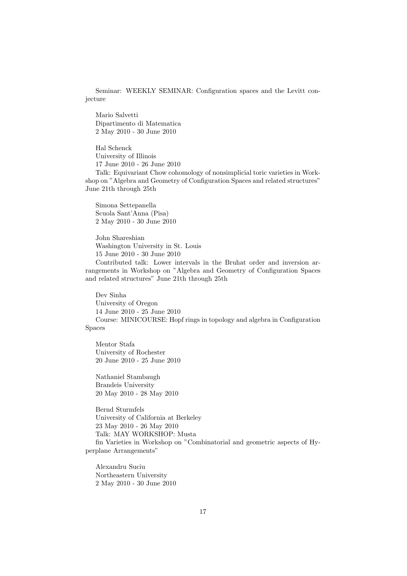Seminar: WEEKLY SEMINAR: Configuration spaces and the Levitt conjecture

Mario Salvetti Dipartimento di Matematica 2 May 2010 - 30 June 2010

Hal Schenck University of Illinois 17 June 2010 - 26 June 2010 Talk: Equivariant Chow cohomology of nonsimplicial toric varieties in Workshop on "Algebra and Geometry of Configuration Spaces and related structures" June 21th through 25th

Simona Settepanella Scuola Sant'Anna (Pisa) 2 May 2010 - 30 June 2010

John Shareshian Washington University in St. Louis 15 June 2010 - 30 June 2010 Contributed talk: Lower intervals in the Bruhat order and inversion arrangements in Workshop on "Algebra and Geometry of Configuration Spaces and related structures" June 21th through 25th

Dev Sinha University of Oregon 14 June 2010 - 25 June 2010 Course: MINICOURSE: Hopf rings in topology and algebra in Configuration Spaces

Mentor Stafa University of Rochester 20 June 2010 - 25 June 2010

Nathaniel Stambaugh Brandeis University 20 May 2010 - 28 May 2010

Bernd Sturmfels University of California at Berkeley 23 May 2010 - 26 May 2010 Talk: MAY WORKSHOP: Musta fin Varieties in Workshop on "Combinatorial and geometric aspects of Hyperplane Arrangements"

Alexandru Suciu Northeastern University 2 May 2010 - 30 June 2010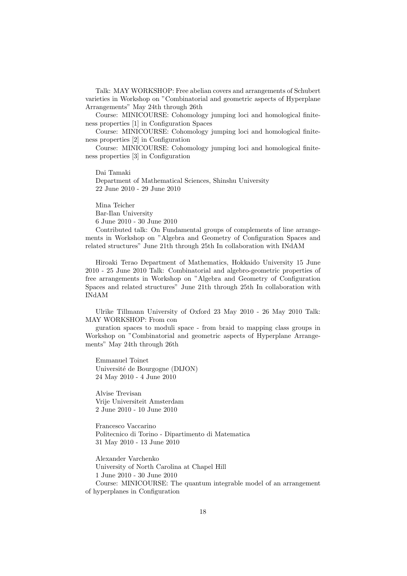Talk: MAY WORKSHOP: Free abelian covers and arrangements of Schubert varieties in Workshop on "Combinatorial and geometric aspects of Hyperplane Arrangements" May 24th through 26th

Course: MINICOURSE: Cohomology jumping loci and homological finiteness properties [1] in Configuration Spaces

Course: MINICOURSE: Cohomology jumping loci and homological finiteness properties [2] in Configuration

Course: MINICOURSE: Cohomology jumping loci and homological finiteness properties [3] in Configuration

Dai Tamaki Department of Mathematical Sciences, Shinshu University 22 June 2010 - 29 June 2010

Mina Teicher Bar-Ilan University 6 June 2010 - 30 June 2010

Contributed talk: On Fundamental groups of complements of line arrangements in Workshop on "Algebra and Geometry of Configuration Spaces and related structures" June 21th through 25th In collaboration with INdAM

Hiroaki Terao Department of Mathematics, Hokkaido University 15 June 2010 - 25 June 2010 Talk: Combinatorial and algebro-geometric properties of free arrangements in Workshop on "Algebra and Geometry of Configuration Spaces and related structures" June 21th through 25th In collaboration with INdAM

Ulrike Tillmann University of Oxford 23 May 2010 - 26 May 2010 Talk: MAY WORKSHOP: From con

guration spaces to moduli space - from braid to mapping class groups in Workshop on "Combinatorial and geometric aspects of Hyperplane Arrangements" May 24th through 26th

Emmanuel Toinet Université de Bourgogne (DIJON) 24 May 2010 - 4 June 2010

Alvise Trevisan Vrije Universiteit Amsterdam 2 June 2010 - 10 June 2010

Francesco Vaccarino Politecnico di Torino - Dipartimento di Matematica 31 May 2010 - 13 June 2010

Alexander Varchenko University of North Carolina at Chapel Hill 1 June 2010 - 30 June 2010 Course: MINICOURSE: The quantum integrable model of an arrangement of hyperplanes in Configuration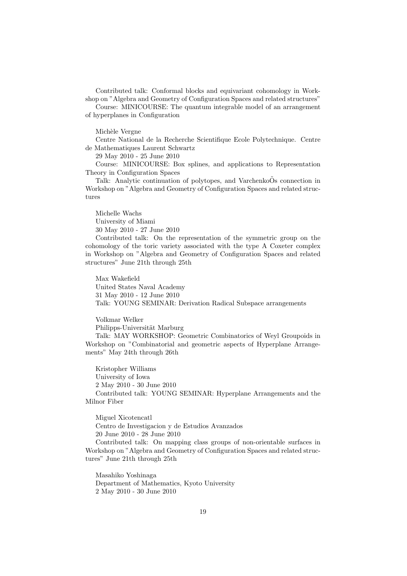Contributed talk: Conformal blocks and equivariant cohomology in Workshop on "Algebra and Geometry of Configuration Spaces and related structures"

Course: MINICOURSE: The quantum integrable model of an arrangement of hyperplanes in Configuration

Michèle Vergne

Centre National de la Recherche Scientifique Ecole Polytechnique. Centre de Mathematiques Laurent Schwartz

29 May 2010 - 25 June 2010

Course: MINICOURSE: Box splines, and applications to Representation Theory in Configuration Spaces

Talk: Analytic continuation of polytopes, and Varchenko $\tilde{O}$ s connection in Workshop on "Algebra and Geometry of Configuration Spaces and related structures

Michelle Wachs University of Miami 30 May 2010 - 27 June 2010

Contributed talk: On the representation of the symmetric group on the cohomology of the toric variety associated with the type A Coxeter complex in Workshop on "Algebra and Geometry of Configuration Spaces and related structures" June 21th through 25th

Max Wakefield United States Naval Academy 31 May 2010 - 12 June 2010 Talk: YOUNG SEMINAR: Derivation Radical Subspace arrangements

Volkmar Welker Philipps-Universität Marburg

Talk: MAY WORKSHOP: Geometric Combinatorics of Weyl Groupoids in Workshop on "Combinatorial and geometric aspects of Hyperplane Arrangements" May 24th through 26th

Kristopher Williams University of Iowa 2 May 2010 - 30 June 2010 Contributed talk: YOUNG SEMINAR: Hyperplane Arrangements and the Milnor Fiber

Miguel Xicotencatl Centro de Investigacion y de Estudios Avanzados 20 June 2010 - 28 June 2010 Contributed talk: On mapping class groups of non-orientable surfaces in Workshop on "Algebra and Geometry of Configuration Spaces and related structures" June 21th through 25th

Masahiko Yoshinaga Department of Mathematics, Kyoto University 2 May 2010 - 30 June 2010